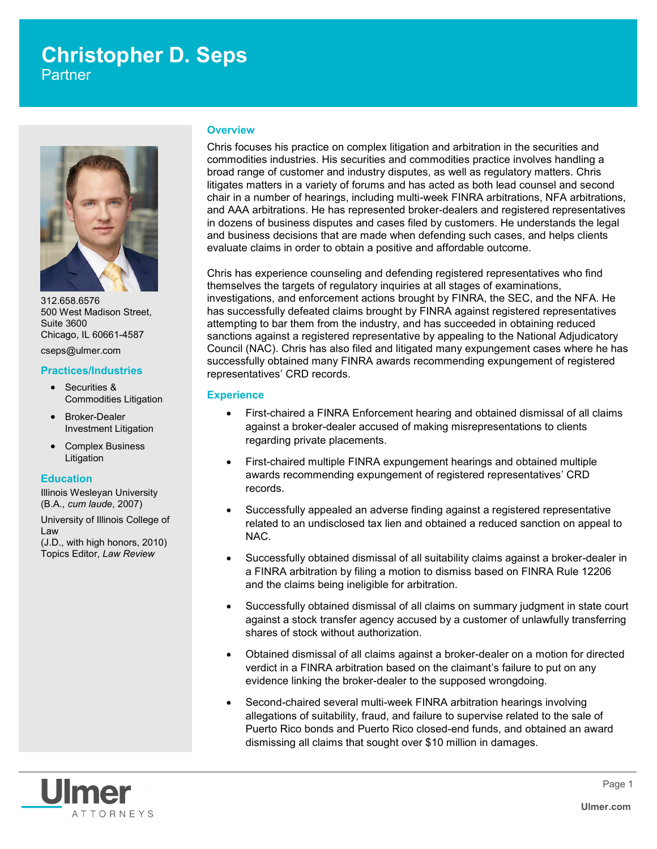# **Christopher D. Seps**

**Partner** 



312.658.6576 500 West Madison Street, Suite 3600 Chicago, IL 60661-4587

cseps@ulmer.com

# **Practices/Industries**

- Securities & Commodities Litigation
- Broker-Dealer Investment Litigation
- Complex Business Litigation

# **Education**

Illinois Wesleyan University (B.A., *cum laude*, 2007)

University of Illinois College of Law (J.D., with high honors, 2010) Topics Editor, *Law Review*

# **Overview**

Chris focuses his practice on complex litigation and arbitration in the securities and commodities industries. His securities and commodities practice involves handling a broad range of customer and industry disputes, as well as regulatory matters. Chris litigates matters in a variety of forums and has acted as both lead counsel and second chair in a number of hearings, including multi-week FINRA arbitrations, NFA arbitrations, and AAA arbitrations. He has represented broker-dealers and registered representatives in dozens of business disputes and cases filed by customers. He understands the legal and business decisions that are made when defending such cases, and helps clients evaluate claims in order to obtain a positive and affordable outcome.

Chris has experience counseling and defending registered representatives who find themselves the targets of regulatory inquiries at all stages of examinations, investigations, and enforcement actions brought by FINRA, the SEC, and the NFA. He has successfully defeated claims brought by FINRA against registered representatives attempting to bar them from the industry, and has succeeded in obtaining reduced sanctions against a registered representative by appealing to the National Adjudicatory Council (NAC). Chris has also filed and litigated many expungement cases where he has successfully obtained many FINRA awards recommending expungement of registered representatives' CRD records.

# **Experience**

- First-chaired a FINRA Enforcement hearing and obtained dismissal of all claims against a broker-dealer accused of making misrepresentations to clients regarding private placements.
- First-chaired multiple FINRA expungement hearings and obtained multiple awards recommending expungement of registered representatives' CRD records.
- Successfully appealed an adverse finding against a registered representative related to an undisclosed tax lien and obtained a reduced sanction on appeal to NAC.
- Successfully obtained dismissal of all suitability claims against a broker-dealer in a FINRA arbitration by filing a motion to dismiss based on FINRA Rule 12206 and the claims being ineligible for arbitration.
- Successfully obtained dismissal of all claims on summary judgment in state court against a stock transfer agency accused by a customer of unlawfully transferring shares of stock without authorization.
- Obtained dismissal of all claims against a broker-dealer on a motion for directed verdict in a FINRA arbitration based on the claimant's failure to put on any evidence linking the broker-dealer to the supposed wrongdoing.
- Second-chaired several multi-week FINRA arbitration hearings involving allegations of suitability, fraud, and failure to supervise related to the sale of Puerto Rico bonds and Puerto Rico closed-end funds, and obtained an award dismissing all claims that sought over \$10 million in damages.

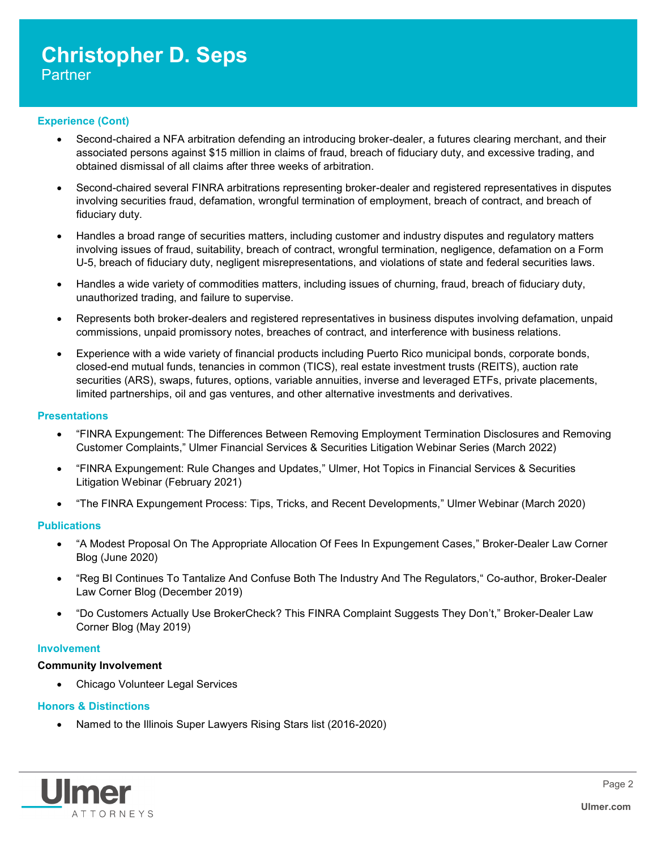# **Christopher D. Seps Partner**

# **Experience (Cont)**

- Second-chaired a NFA arbitration defending an introducing broker-dealer, a futures clearing merchant, and their associated persons against \$15 million in claims of fraud, breach of fiduciary duty, and excessive trading, and obtained dismissal of all claims after three weeks of arbitration.
- Second-chaired several FINRA arbitrations representing broker-dealer and registered representatives in disputes involving securities fraud, defamation, wrongful termination of employment, breach of contract, and breach of fiduciary duty.
- Handles a broad range of securities matters, including customer and industry disputes and regulatory matters involving issues of fraud, suitability, breach of contract, wrongful termination, negligence, defamation on a Form U-5, breach of fiduciary duty, negligent misrepresentations, and violations of state and federal securities laws.
- Handles a wide variety of commodities matters, including issues of churning, fraud, breach of fiduciary duty, unauthorized trading, and failure to supervise.
- Represents both broker-dealers and registered representatives in business disputes involving defamation, unpaid commissions, unpaid promissory notes, breaches of contract, and interference with business relations.
- Experience with a wide variety of financial products including Puerto Rico municipal bonds, corporate bonds, closed-end mutual funds, tenancies in common (TICS), real estate investment trusts (REITS), auction rate securities (ARS), swaps, futures, options, variable annuities, inverse and leveraged ETFs, private placements, limited partnerships, oil and gas ventures, and other alternative investments and derivatives.

# **Presentations**

- "FINRA Expungement: The Differences Between Removing Employment Termination Disclosures and Removing Customer Complaints," Ulmer Financial Services & Securities Litigation Webinar Series (March 2022)
- "FINRA Expungement: Rule Changes and Updates," Ulmer, Hot Topics in Financial Services & Securities Litigation Webinar (February 2021)
- "The FINRA Expungement Process: Tips, Tricks, and Recent Developments," Ulmer Webinar (March 2020)

# **Publications**

- "A Modest Proposal On The Appropriate Allocation Of Fees In Expungement Cases," Broker-Dealer Law Corner Blog (June 2020)
- "Reg BI Continues To Tantalize And Confuse Both The Industry And The Regulators, "Co-author, Broker-Dealer Law Corner Blog (December 2019)
- "Do Customers Actually Use BrokerCheck? This FINRA Complaint Suggests They Don't," Broker-Dealer Law Corner Blog (May 2019)

# **Involvement**

# **Community Involvement**

Chicago Volunteer Legal Services

# **Honors & Distinctions**

Named to the Illinois Super Lawyers Rising Stars list (2016-2020)